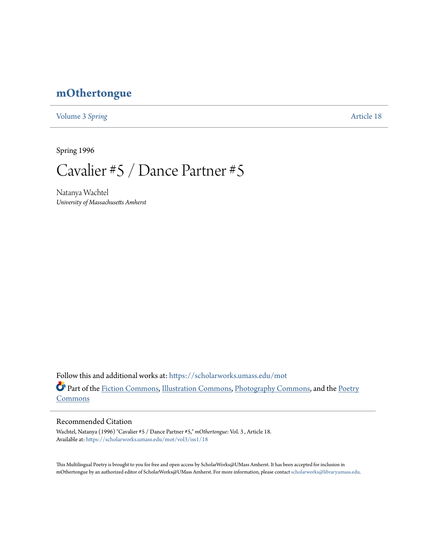## **[mOthertongue](https://scholarworks.umass.edu/mot?utm_source=scholarworks.umass.edu%2Fmot%2Fvol3%2Fiss1%2F18&utm_medium=PDF&utm_campaign=PDFCoverPages)**

[Volume 3](https://scholarworks.umass.edu/mot/vol3?utm_source=scholarworks.umass.edu%2Fmot%2Fvol3%2Fiss1%2F18&utm_medium=PDF&utm_campaign=PDFCoverPages) Spring **[Article 18](https://scholarworks.umass.edu/mot/vol3/iss1/18?utm_source=scholarworks.umass.edu%2Fmot%2Fvol3%2Fiss1%2F18&utm_medium=PDF&utm_campaign=PDFCoverPages)** 

Spring 1996

Cavalier #5 / Dance Partner #5

Natanya Wachtel *University of Massachusetts Amherst*

Follow this and additional works at: [https://scholarworks.umass.edu/mot](https://scholarworks.umass.edu/mot?utm_source=scholarworks.umass.edu%2Fmot%2Fvol3%2Fiss1%2F18&utm_medium=PDF&utm_campaign=PDFCoverPages) Part of the [Fiction Commons](http://network.bepress.com/hgg/discipline/1151?utm_source=scholarworks.umass.edu%2Fmot%2Fvol3%2Fiss1%2F18&utm_medium=PDF&utm_campaign=PDFCoverPages), [Illustration Commons,](http://network.bepress.com/hgg/discipline/1135?utm_source=scholarworks.umass.edu%2Fmot%2Fvol3%2Fiss1%2F18&utm_medium=PDF&utm_campaign=PDFCoverPages) [Photography Commons,](http://network.bepress.com/hgg/discipline/1142?utm_source=scholarworks.umass.edu%2Fmot%2Fvol3%2Fiss1%2F18&utm_medium=PDF&utm_campaign=PDFCoverPages) and the [Poetry](http://network.bepress.com/hgg/discipline/1153?utm_source=scholarworks.umass.edu%2Fmot%2Fvol3%2Fiss1%2F18&utm_medium=PDF&utm_campaign=PDFCoverPages) **[Commons](http://network.bepress.com/hgg/discipline/1153?utm_source=scholarworks.umass.edu%2Fmot%2Fvol3%2Fiss1%2F18&utm_medium=PDF&utm_campaign=PDFCoverPages)** 

## Recommended Citation

Wachtel, Natanya (1996) "Cavalier #5 / Dance Partner #5," *mOthertongue*: Vol. 3 , Article 18. Available at: [https://scholarworks.umass.edu/mot/vol3/iss1/18](https://scholarworks.umass.edu/mot/vol3/iss1/18?utm_source=scholarworks.umass.edu%2Fmot%2Fvol3%2Fiss1%2F18&utm_medium=PDF&utm_campaign=PDFCoverPages)

This Multilingual Poetry is brought to you for free and open access by ScholarWorks@UMass Amherst. It has been accepted for inclusion in mOthertongue by an authorized editor of ScholarWorks@UMass Amherst. For more information, please contact [scholarworks@library.umass.edu](mailto:scholarworks@library.umass.edu).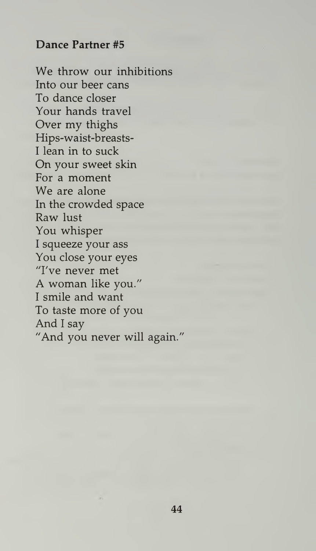## Dance Partner #5

We throw our inhibitions Into our beer cans To dance closer Your hands travel Over my thighs Hips-waist-breasts-<sup>I</sup> lean in to suck On your sweet skin For a moment We are alone In the crowded space Raw lust You whisper <sup>I</sup> squeeze your ass You close your eyes "I've never met A woman like you." <sup>I</sup> smile and want To taste more of you And <sup>I</sup> say "And you never will again."